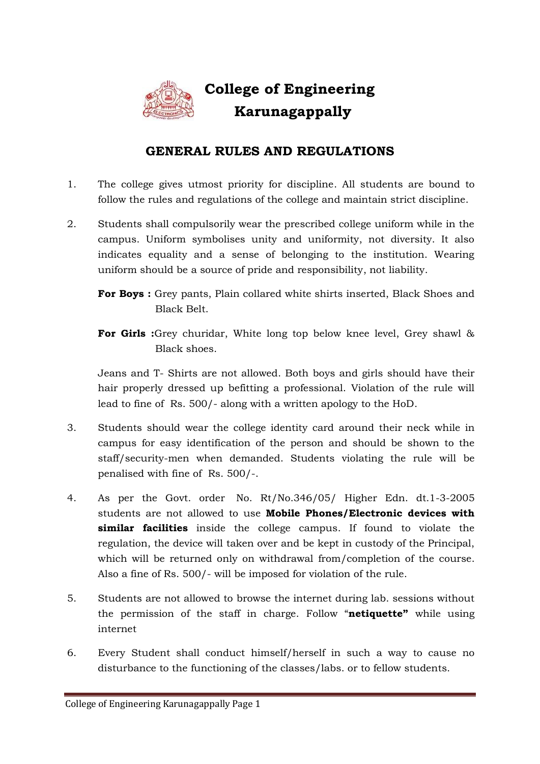

## **College of Engineering Karunagappally**

## **GENERAL RULES AND REGULATIONS**

- 1. The college gives utmost priority for discipline. All students are bound to follow the rules and regulations of the college and maintain strict discipline.
- 2. Students shall compulsorily wear the prescribed college uniform while in the campus. Uniform symbolises unity and uniformity, not diversity. It also indicates equality and a sense of belonging to the institution. Wearing uniform should be a source of pride and responsibility, not liability.

**For Girls :**Grey churidar, White long top below knee level, Grey shawl & Black shoes.

Jeans and T- Shirts are not allowed. Both boys and girls should have their hair properly dressed up befitting a professional. Violation of the rule will lead to fine of Rs. 500/- along with a written apology to the HoD.

- 3. Students should wear the college identity card around their neck while in campus for easy identification of the person and should be shown to the staff/security-men when demanded. Students violating the rule will be penalised with fine of Rs. 500/-.
- 4. As per the Govt. order No. Rt/No.346/05/ Higher Edn. dt.1-3-2005 students are not allowed to use **Mobile Phones/Electronic devices with similar facilities** inside the college campus. If found to violate the regulation, the device will taken over and be kept in custody of the Principal, which will be returned only on withdrawal from/completion of the course. Also a fine of Rs. 500/- will be imposed for violation of the rule.
- 5. Students are not allowed to browse the internet during lab. sessions without the permission of the staff in charge. Follow "**netiquette"** while using internet
- 6. Every Student shall conduct himself/herself in such a way to cause no disturbance to the functioning of the classes/labs. or to fellow students.

**For Boys :** Grey pants, Plain collared white shirts inserted, Black Shoes and Black Belt.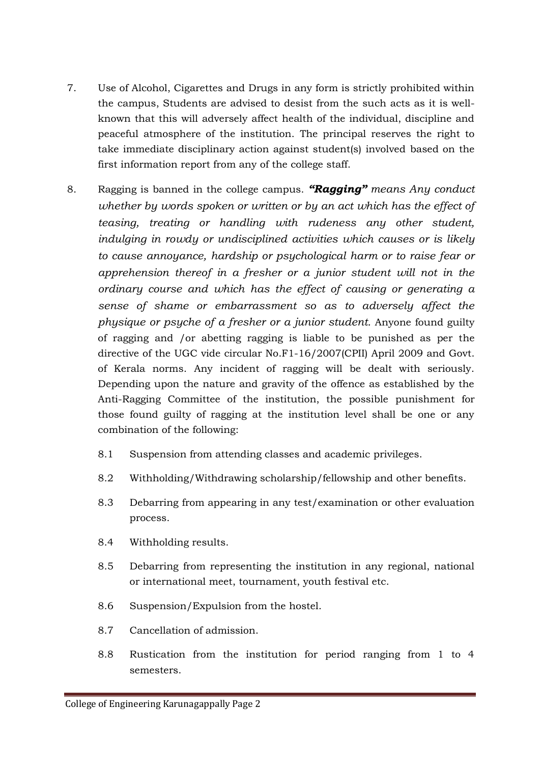- 7. Use of Alcohol, Cigarettes and Drugs in any form is strictly prohibited within the campus, Students are advised to desist from the such acts as it is wellknown that this will adversely affect health of the individual, discipline and peaceful atmosphere of the institution. The principal reserves the right to take immediate disciplinary action against student(s) involved based on the first information report from any of the college staff.
- 8. Ragging is banned in the college campus. *"Ragging" means Any conduct whether by words spoken or written or by an act which has the effect of teasing, treating or handling with rudeness any other student, indulging in rowdy or undisciplined activities which causes or is likely to cause annoyance, hardship or psychological harm or to raise fear or apprehension thereof in a fresher or a junior student will not in the ordinary course and which has the effect of causing or generating a sense of shame or embarrassment so as to adversely affect the physique or psyche of a fresher or a junior student.* Anyone found guilty of ragging and /or abetting ragging is liable to be punished as per the directive of the UGC vide circular No.F1-16/2007(CPII) April 2009 and Govt. of Kerala norms. Any incident of ragging will be dealt with seriously. Depending upon the nature and gravity of the offence as established by the Anti-Ragging Committee of the institution, the possible punishment for those found guilty of ragging at the institution level shall be one or any combination of the following:
	- 8.1 Suspension from attending classes and academic privileges.
	- 8.2 Withholding/Withdrawing scholarship/fellowship and other benefits.
	- 8.3 Debarring from appearing in any test/examination or other evaluation process.
	- 8.4 Withholding results.
	- 8.5 Debarring from representing the institution in any regional, national or international meet, tournament, youth festival etc.
	- 8.6 Suspension/Expulsion from the hostel.
	- 8.7 Cancellation of admission.
	- 8.8 Rustication from the institution for period ranging from 1 to 4 semesters.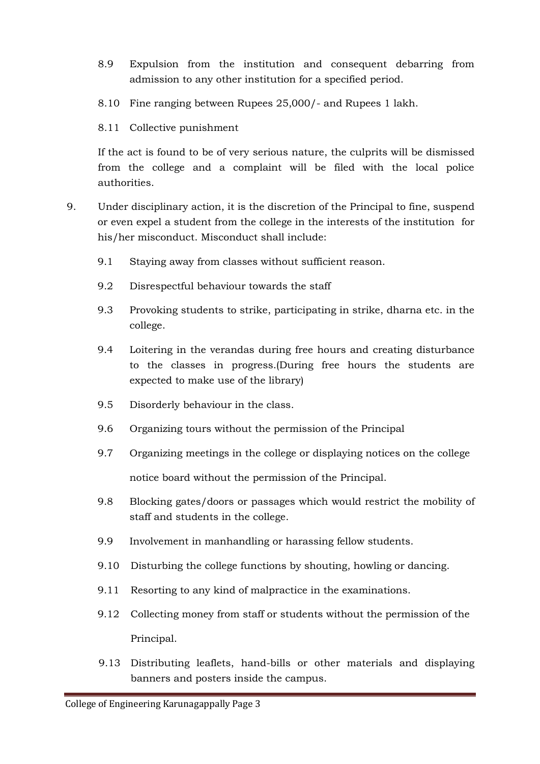- 8.9 Expulsion from the institution and consequent debarring from admission to any other institution for a specified period.
- 8.10 Fine ranging between Rupees 25,000/- and Rupees 1 lakh.
- 8.11 Collective punishment

If the act is found to be of very serious nature, the culprits will be dismissed from the college and a complaint will be filed with the local police authorities.

- 9. Under disciplinary action, it is the discretion of the Principal to fine, suspend or even expel a student from the college in the interests of the institution for his/her misconduct. Misconduct shall include:
	- 9.1 Staying away from classes without sufficient reason.
	- 9.2 Disrespectful behaviour towards the staff
	- 9.3 Provoking students to strike, participating in strike, dharna etc. in the college.
	- 9.4 Loitering in the verandas during free hours and creating disturbance to the classes in progress.(During free hours the students are expected to make use of the library)
	- 9.5 Disorderly behaviour in the class.
	- 9.6 Organizing tours without the permission of the Principal
	- 9.7 Organizing meetings in the college or displaying notices on the college notice board without the permission of the Principal.
	- 9.8 Blocking gates/doors or passages which would restrict the mobility of staff and students in the college.
	- 9.9 Involvement in manhandling or harassing fellow students.
	- 9.10 Disturbing the college functions by shouting, howling or dancing.
	- 9.11 Resorting to any kind of malpractice in the examinations.
	- 9.12 Collecting money from staff or students without the permission of the Principal.
	- 9.13 Distributing leaflets, hand-bills or other materials and displaying banners and posters inside the campus.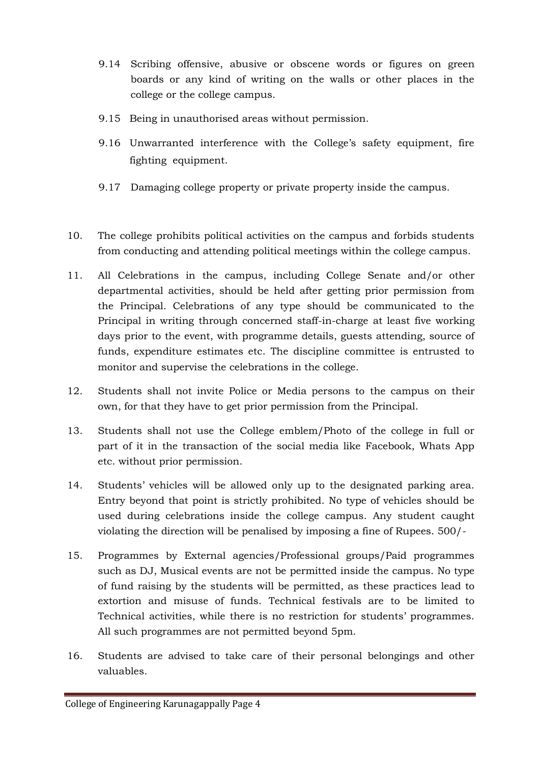- 9.14 Scribing offensive, abusive or obscene words or figures on green boards or any kind of writing on the walls or other places in the college or the college campus.
- 9.15 Being in unauthorised areas without permission.
- 9.16 Unwarranted interference with the College's safety equipment, fire fighting equipment.
- 9.17 Damaging college property or private property inside the campus.
- 10. The college prohibits political activities on the campus and forbids students from conducting and attending political meetings within the college campus.
- 11. All Celebrations in the campus, including College Senate and/or other departmental activities, should be held after getting prior permission from the Principal. Celebrations of any type should be communicated to the Principal in writing through concerned staff-in-charge at least five working days prior to the event, with programme details, guests attending, source of funds, expenditure estimates etc. The discipline committee is entrusted to monitor and supervise the celebrations in the college.
- 12. Students shall not invite Police or Media persons to the campus on their own, for that they have to get prior permission from the Principal.
- 13. Students shall not use the College emblem/Photo of the college in full or part of it in the transaction of the social media like Facebook, Whats App etc. without prior permission.
- 14. Students' vehicles will be allowed only up to the designated parking area. Entry beyond that point is strictly prohibited. No type of vehicles should be used during celebrations inside the college campus. Any student caught violating the direction will be penalised by imposing a fine of Rupees. 500/-
- 15. Programmes by External agencies/Professional groups/Paid programmes such as DJ, Musical events are not be permitted inside the campus. No type of fund raising by the students will be permitted, as these practices lead to extortion and misuse of funds. Technical festivals are to be limited to Technical activities, while there is no restriction for students' programmes. All such programmes are not permitted beyond 5pm.
- 16. Students are advised to take care of their personal belongings and other valuables.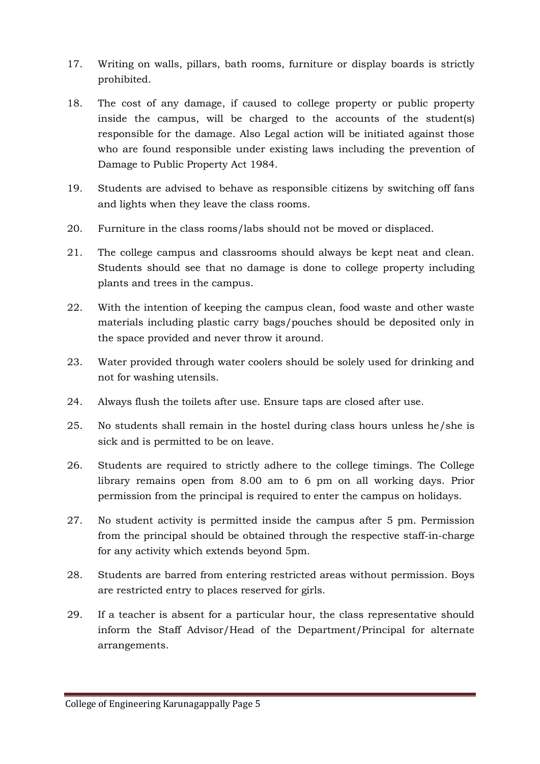- 17. Writing on walls, pillars, bath rooms, furniture or display boards is strictly prohibited.
- 18. The cost of any damage, if caused to college property or public property inside the campus, will be charged to the accounts of the student(s) responsible for the damage. Also Legal action will be initiated against those who are found responsible under existing laws including the prevention of Damage to Public Property Act 1984.
- 19. Students are advised to behave as responsible citizens by switching off fans and lights when they leave the class rooms.
- 20. Furniture in the class rooms/labs should not be moved or displaced.
- 21. The college campus and classrooms should always be kept neat and clean. Students should see that no damage is done to college property including plants and trees in the campus.
- 22. With the intention of keeping the campus clean, food waste and other waste materials including plastic carry bags/pouches should be deposited only in the space provided and never throw it around.
- 23. Water provided through water coolers should be solely used for drinking and not for washing utensils.
- 24. Always flush the toilets after use. Ensure taps are closed after use.
- 25. No students shall remain in the hostel during class hours unless he/she is sick and is permitted to be on leave.
- 26. Students are required to strictly adhere to the college timings. The College library remains open from 8.00 am to 6 pm on all working days. Prior permission from the principal is required to enter the campus on holidays.
- 27. No student activity is permitted inside the campus after 5 pm. Permission from the principal should be obtained through the respective staff-in-charge for any activity which extends beyond 5pm.
- 28. Students are barred from entering restricted areas without permission. Boys are restricted entry to places reserved for girls.
- 29. If a teacher is absent for a particular hour, the class representative should inform the Staff Advisor/Head of the Department/Principal for alternate arrangements.